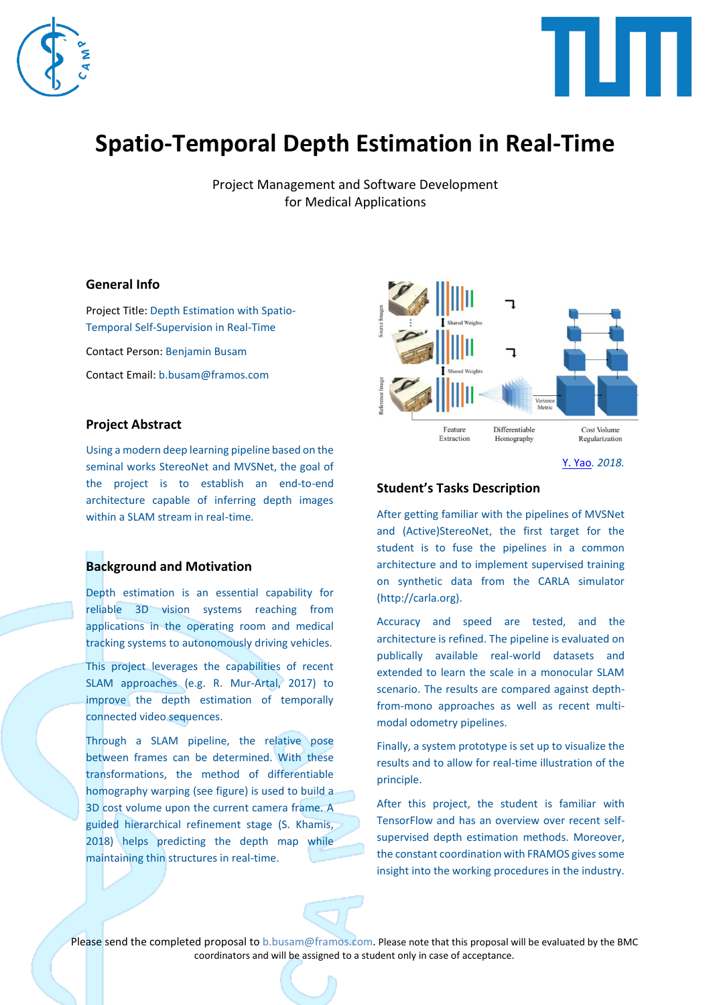



# **Spatio-Temporal Depth Estimation in Real-Time**

Project Management and Software Development for Medical Applications

## **General Info**

Project Title: Depth Estimation with Spatio-Temporal Self-Supervision in Real-Time Contact Person: Benjamin Busam Contact Email: b.busam@framos.com

## **Project Abstract**

Using a modern deep learning pipeline based on the seminal works StereoNet and MVSNet, the goal of the project is to establish an end-to-end architecture capable of inferring depth images within a SLAM stream in real-time.

#### **Background and Motivation**

Depth estimation is an essential capability for reliable 3D vision systems reaching from applications in the operating room and medical tracking systems to autonomously driving vehicles.

This project leverages the capabilities of recent SLAM approaches (e.g. R. Mur-Artal, 2017) to improve the depth estimation of temporally connected video sequences.

Through a SLAM pipeline, the relative pose between frames can be determined. With these transformations, the method of differentiable homography warping (see figure) is used to build a 3D cost volume upon the current camera frame. A guided hierarchical refinement stage (S. Khamis, 2018) helps predicting the depth map while maintaining thin structures in real-time.



[Y. Yao](https://arxiv.org/pdf/1804.02505.pdf)*. 2018.*

## **Student's Tasks Description**

After getting familiar with the pipelines of MVSNet and (Active)StereoNet, the first target for the student is to fuse the pipelines in a common architecture and to implement supervised training on synthetic data from the CARLA simulator (http://carla.org).

Accuracy and speed are tested, and the architecture is refined. The pipeline is evaluated on publically available real-world datasets and extended to learn the scale in a monocular SLAM scenario. The results are compared against depthfrom-mono approaches as well as recent multimodal odometry pipelines.

Finally, a system prototype is set up to visualize the results and to allow for real-time illustration of the principle.

After this project, the student is familiar with TensorFlow and has an overview over recent selfsupervised depth estimation methods. Moreover, the constant coordination with FRAMOS gives some insight into the working procedures in the industry.

Please send the completed proposal to [b.busam@framos.com.](mailto:b.busam@framos.com) Please note that this proposal will be evaluated by the BMC coordinators and will be assigned to a student only in case of acceptance.